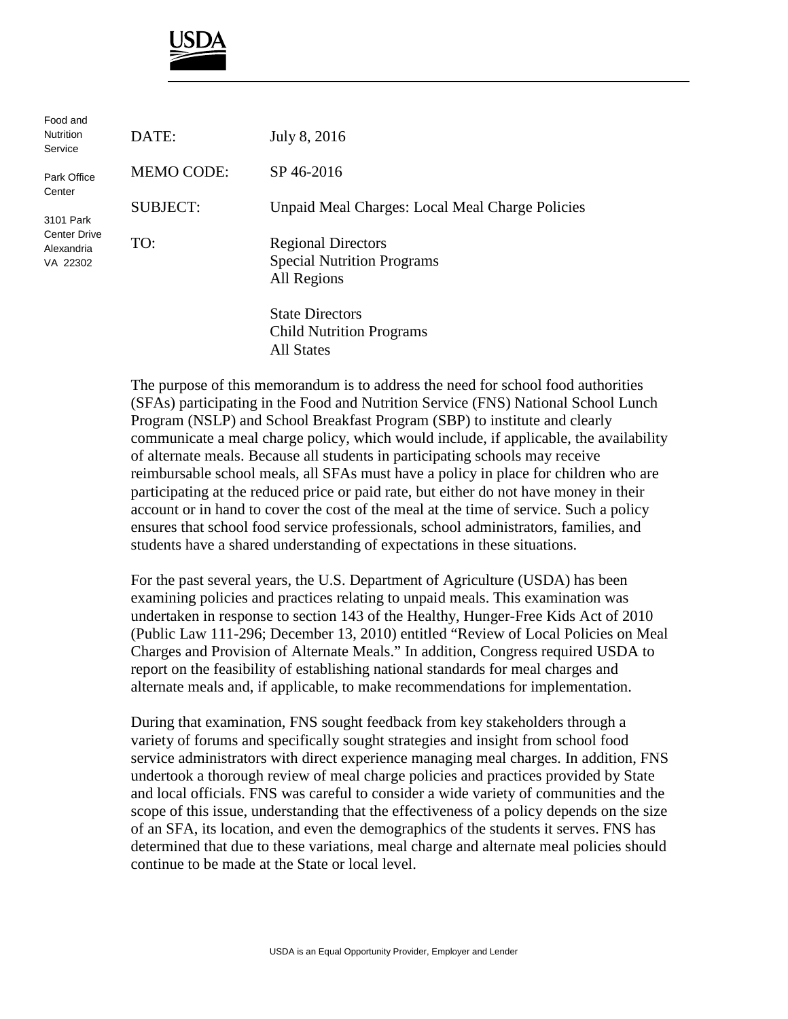

| Food and<br><b>Nutrition</b><br>Service             | DATE:             | July 8, 2016                                                                  |
|-----------------------------------------------------|-------------------|-------------------------------------------------------------------------------|
| Park Office<br>Center                               | <b>MEMO CODE:</b> | SP 46-2016                                                                    |
| 3101 Park<br>Center Drive<br>Alexandria<br>VA 22302 | <b>SUBJECT:</b>   | Unpaid Meal Charges: Local Meal Charge Policies                               |
|                                                     | TO:               | <b>Regional Directors</b><br><b>Special Nutrition Programs</b><br>All Regions |
|                                                     |                   | <b>State Directors</b><br><b>Child Nutrition Programs</b>                     |

All States

The purpose of this memorandum is to address the need for school food authorities (SFAs) participating in the Food and Nutrition Service (FNS) National School Lunch Program (NSLP) and School Breakfast Program (SBP) to institute and clearly communicate a meal charge policy, which would include, if applicable, the availability of alternate meals. Because all students in participating schools may receive reimbursable school meals, all SFAs must have a policy in place for children who are participating at the reduced price or paid rate, but either do not have money in their account or in hand to cover the cost of the meal at the time of service. Such a policy ensures that school food service professionals, school administrators, families, and students have a shared understanding of expectations in these situations.

For the past several years, the U.S. Department of Agriculture (USDA) has been examining policies and practices relating to unpaid meals. This examination was undertaken in response to section 143 of the Healthy, Hunger-Free Kids Act of 2010 (Public Law 111-296; December 13, 2010) entitled "Review of Local Policies on Meal Charges and Provision of Alternate Meals." In addition, Congress required USDA to report on the feasibility of establishing national standards for meal charges and alternate meals and, if applicable, to make recommendations for implementation.

During that examination, FNS sought feedback from key stakeholders through a variety of forums and specifically sought strategies and insight from school food service administrators with direct experience managing meal charges. In addition, FNS undertook a thorough review of meal charge policies and practices provided by State and local officials. FNS was careful to consider a wide variety of communities and the scope of this issue, understanding that the effectiveness of a policy depends on the size of an SFA, its location, and even the demographics of the students it serves. FNS has determined that due to these variations, meal charge and alternate meal policies should continue to be made at the State or local level.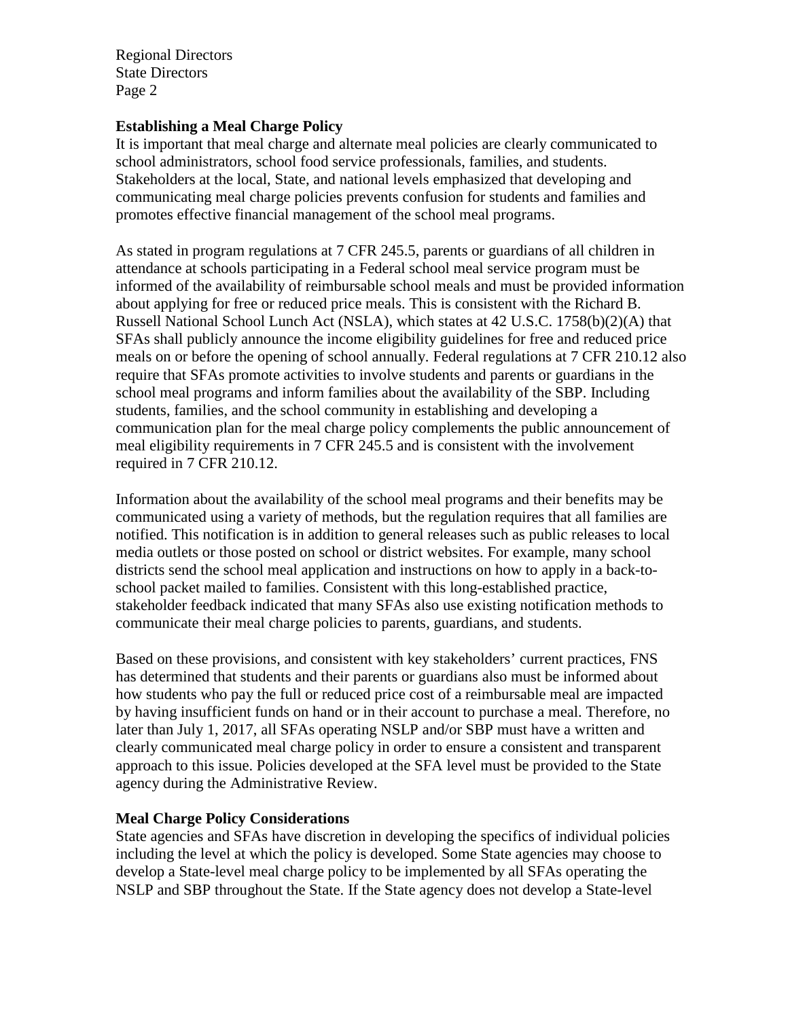Regional Directors State Directors Page 2

## **Establishing a Meal Charge Policy**

It is important that meal charge and alternate meal policies are clearly communicated to school administrators, school food service professionals, families, and students. Stakeholders at the local, State, and national levels emphasized that developing and communicating meal charge policies prevents confusion for students and families and promotes effective financial management of the school meal programs.

As stated in program regulations at 7 CFR 245.5, parents or guardians of all children in attendance at schools participating in a Federal school meal service program must be informed of the availability of reimbursable school meals and must be provided information about applying for free or reduced price meals. This is consistent with the Richard B. Russell National School Lunch Act (NSLA), which states at 42 U.S.C. 1758(b)(2)(A) that SFAs shall publicly announce the income eligibility guidelines for free and reduced price meals on or before the opening of school annually. Federal regulations at 7 CFR 210.12 also require that SFAs promote activities to involve students and parents or guardians in the school meal programs and inform families about the availability of the SBP. Including students, families, and the school community in establishing and developing a communication plan for the meal charge policy complements the public announcement of meal eligibility requirements in 7 CFR 245.5 and is consistent with the involvement required in 7 CFR 210.12.

Information about the availability of the school meal programs and their benefits may be communicated using a variety of methods, but the regulation requires that all families are notified. This notification is in addition to general releases such as public releases to local media outlets or those posted on school or district websites. For example, many school districts send the school meal application and instructions on how to apply in a back-toschool packet mailed to families. Consistent with this long-established practice, stakeholder feedback indicated that many SFAs also use existing notification methods to communicate their meal charge policies to parents, guardians, and students.

Based on these provisions, and consistent with key stakeholders' current practices, FNS has determined that students and their parents or guardians also must be informed about how students who pay the full or reduced price cost of a reimbursable meal are impacted by having insufficient funds on hand or in their account to purchase a meal. Therefore, no later than July 1, 2017, all SFAs operating NSLP and/or SBP must have a written and clearly communicated meal charge policy in order to ensure a consistent and transparent approach to this issue. Policies developed at the SFA level must be provided to the State agency during the Administrative Review.

## **Meal Charge Policy Considerations**

State agencies and SFAs have discretion in developing the specifics of individual policies including the level at which the policy is developed. Some State agencies may choose to develop a State-level meal charge policy to be implemented by all SFAs operating the NSLP and SBP throughout the State. If the State agency does not develop a State-level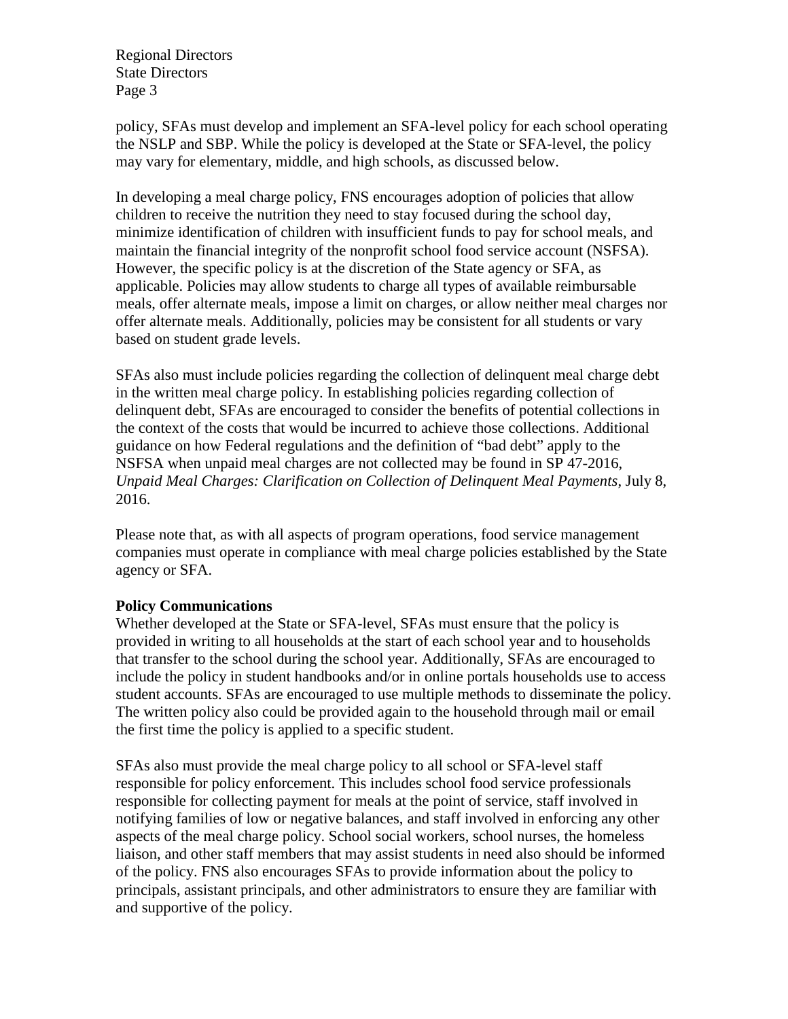Regional Directors State Directors Page 3

policy, SFAs must develop and implement an SFA-level policy for each school operating the NSLP and SBP. While the policy is developed at the State or SFA-level, the policy may vary for elementary, middle, and high schools, as discussed below.

In developing a meal charge policy, FNS encourages adoption of policies that allow children to receive the nutrition they need to stay focused during the school day, minimize identification of children with insufficient funds to pay for school meals, and maintain the financial integrity of the nonprofit school food service account (NSFSA). However, the specific policy is at the discretion of the State agency or SFA, as applicable. Policies may allow students to charge all types of available reimbursable meals, offer alternate meals, impose a limit on charges, or allow neither meal charges nor offer alternate meals. Additionally, policies may be consistent for all students or vary based on student grade levels.

SFAs also must include policies regarding the collection of delinquent meal charge debt in the written meal charge policy. In establishing policies regarding collection of delinquent debt, SFAs are encouraged to consider the benefits of potential collections in the context of the costs that would be incurred to achieve those collections. Additional guidance on how Federal regulations and the definition of "bad debt" apply to the NSFSA when unpaid meal charges are not collected may be found in SP 47-2016, *Unpaid Meal Charges: Clarification on Collection of Delinquent Meal Payments*, July 8, 2016.

Please note that, as with all aspects of program operations, food service management companies must operate in compliance with meal charge policies established by the State agency or SFA.

## **Policy Communications**

Whether developed at the State or SFA-level, SFAs must ensure that the policy is provided in writing to all households at the start of each school year and to households that transfer to the school during the school year. Additionally, SFAs are encouraged to include the policy in student handbooks and/or in online portals households use to access student accounts. SFAs are encouraged to use multiple methods to disseminate the policy. The written policy also could be provided again to the household through mail or email the first time the policy is applied to a specific student.

SFAs also must provide the meal charge policy to all school or SFA-level staff responsible for policy enforcement. This includes school food service professionals responsible for collecting payment for meals at the point of service, staff involved in notifying families of low or negative balances, and staff involved in enforcing any other aspects of the meal charge policy. School social workers, school nurses, the homeless liaison, and other staff members that may assist students in need also should be informed of the policy. FNS also encourages SFAs to provide information about the policy to principals, assistant principals, and other administrators to ensure they are familiar with and supportive of the policy.